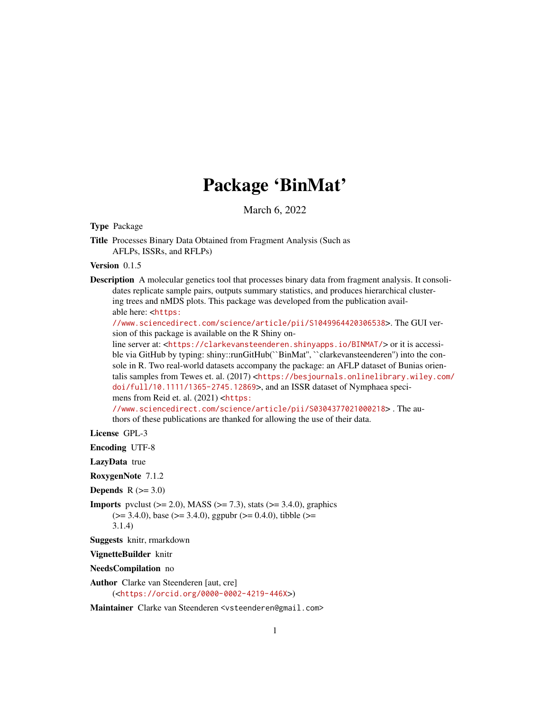# Package 'BinMat'

March 6, 2022

Type Package

Title Processes Binary Data Obtained from Fragment Analysis (Such as AFLPs, ISSRs, and RFLPs)

Version 0.1.5

Description A molecular genetics tool that processes binary data from fragment analysis. It consolidates replicate sample pairs, outputs summary statistics, and produces hierarchical clustering trees and nMDS plots. This package was developed from the publication available here: <[https:](https://www.sciencedirect.com/science/article/pii/S1049964420306538)

[//www.sciencedirect.com/science/article/pii/S1049964420306538](https://www.sciencedirect.com/science/article/pii/S1049964420306538)>. The GUI version of this package is available on the R Shiny on-

line server at: <<https://clarkevansteenderen.shinyapps.io/BINMAT/>> or it is accessible via GitHub by typing: shiny::runGitHub(``BinMat'', ``clarkevansteenderen'') into the console in R. Two real-world datasets accompany the package: an AFLP dataset of Bunias orientalis samples from Tewes et. al. (2017) <[https://besjournals.onlinelibrary.wiley.com/](https://besjournals.onlinelibrary.wiley.com/doi/full/10.1111/1365-2745.12869) [doi/full/10.1111/1365-2745.12869](https://besjournals.onlinelibrary.wiley.com/doi/full/10.1111/1365-2745.12869)>, and an ISSR dataset of Nymphaea specimens from Reid et. al. (2021) <[https:](https://www.sciencedirect.com/science/article/pii/S0304377021000218)

[//www.sciencedirect.com/science/article/pii/S0304377021000218](https://www.sciencedirect.com/science/article/pii/S0304377021000218)> . The authors of these publications are thanked for allowing the use of their data.

License GPL-3

Encoding UTF-8

LazyData true

RoxygenNote 7.1.2

**Depends**  $R$  ( $>= 3.0$ )

**Imports** pvclust  $(>= 2.0)$ , MASS  $(>= 7.3)$ , stats  $(>= 3.4.0)$ , graphics  $(>= 3.4.0)$ , base  $(>= 3.4.0)$ , ggpubr  $(>= 0.4.0)$ , tibble  $(>= 0.4.0)$ 3.1.4)

Suggests knitr, rmarkdown

VignetteBuilder knitr

NeedsCompilation no

Author Clarke van Steenderen [aut, cre] (<<https://orcid.org/0000-0002-4219-446X>>)

Maintainer Clarke van Steenderen <vsteenderen@gmail.com>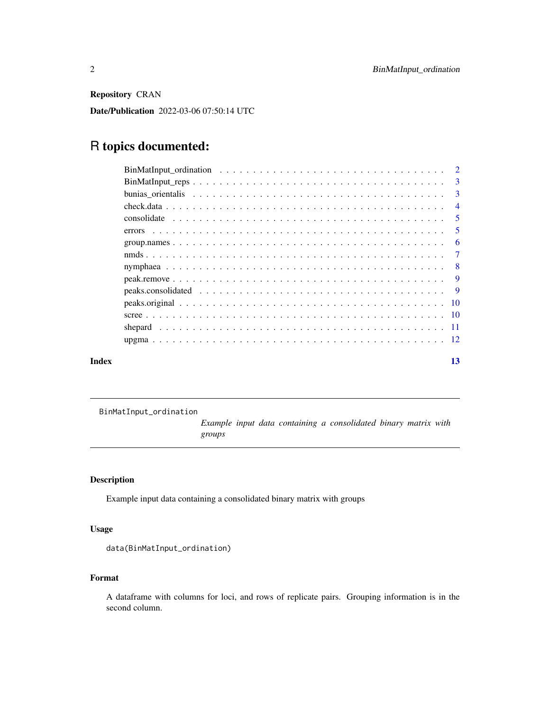<span id="page-1-0"></span>Repository CRAN

Date/Publication 2022-03-06 07:50:14 UTC

## R topics documented:

| Index | 13 |  |
|-------|----|--|

BinMatInput\_ordination

*Example input data containing a consolidated binary matrix with groups*

### Description

Example input data containing a consolidated binary matrix with groups

#### Usage

```
data(BinMatInput_ordination)
```
#### Format

A dataframe with columns for loci, and rows of replicate pairs. Grouping information is in the second column.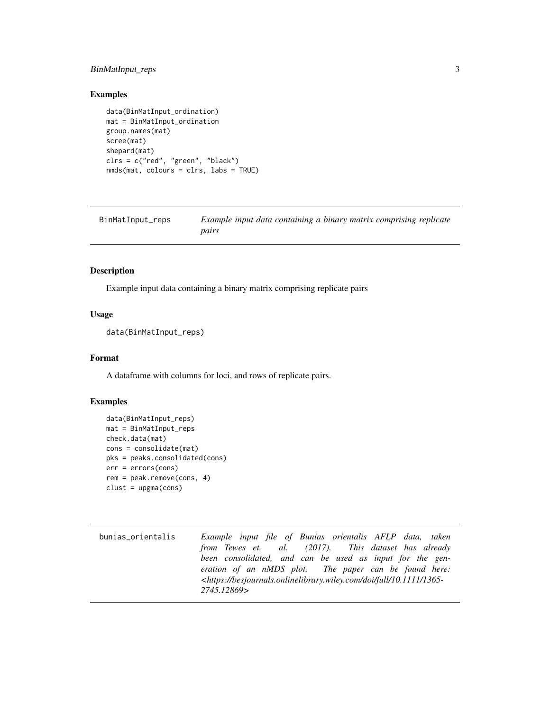#### <span id="page-2-0"></span>BinMatInput\_reps 3

#### Examples

```
data(BinMatInput_ordination)
mat = BinMatInput_ordination
group.names(mat)
scree(mat)
shepard(mat)
clrs = c("red", "green", "black")
nmds(mat, colours = clrs, labs = TRUE)
```

| BinMatInput_reps | Example input data containing a binary matrix comprising replicate |
|------------------|--------------------------------------------------------------------|
|                  | pairs                                                              |

#### Description

Example input data containing a binary matrix comprising replicate pairs

#### Usage

```
data(BinMatInput_reps)
```
#### Format

A dataframe with columns for loci, and rows of replicate pairs.

#### Examples

```
data(BinMatInput_reps)
mat = BinMatInput_reps
check.data(mat)
cons = consolidate(mat)
pks = peaks.consolidated(cons)
err = errors(cons)
rem = peak.remove(cons, 4)
clust = upgma(cons)
```
bunias\_orientalis *Example input file of Bunias orientalis AFLP data, taken from Tewes et. al. (2017). This dataset has already been consolidated, and can be used as input for the generation of an nMDS plot. The paper can be found here: <https://besjournals.onlinelibrary.wiley.com/doi/full/10.1111/1365- 2745.12869>*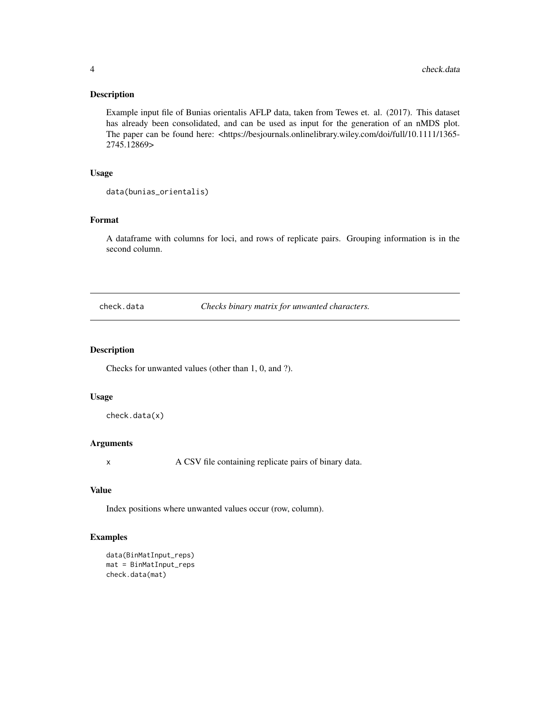<span id="page-3-0"></span>Example input file of Bunias orientalis AFLP data, taken from Tewes et. al. (2017). This dataset has already been consolidated, and can be used as input for the generation of an nMDS plot. The paper can be found here: <https://besjournals.onlinelibrary.wiley.com/doi/full/10.1111/1365-2745.12869>

### Usage

```
data(bunias_orientalis)
```
#### Format

A dataframe with columns for loci, and rows of replicate pairs. Grouping information is in the second column.

check.data *Checks binary matrix for unwanted characters.*

#### Description

Checks for unwanted values (other than 1, 0, and ?).

#### Usage

check.data(x)

#### Arguments

x A CSV file containing replicate pairs of binary data.

#### Value

Index positions where unwanted values occur (row, column).

#### Examples

```
data(BinMatInput_reps)
mat = BinMatInput_reps
check.data(mat)
```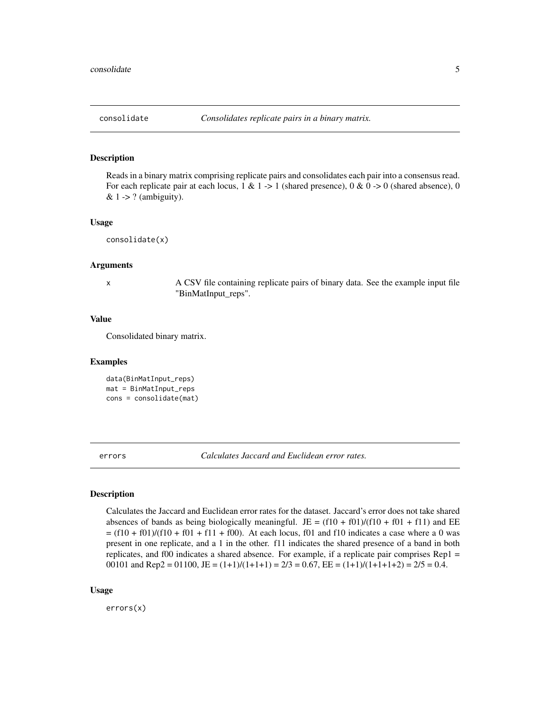<span id="page-4-0"></span>

Reads in a binary matrix comprising replicate pairs and consolidates each pair into a consensus read. For each replicate pair at each locus,  $1 \& 1 \rightarrow 1$  (shared presence),  $0 \& 0 \rightarrow 0$  (shared absence), 0 &  $1 \rightarrow ?$  (ambiguity).

#### Usage

consolidate(x)

#### Arguments

x A CSV file containing replicate pairs of binary data. See the example input file "BinMatInput\_reps".

#### Value

Consolidated binary matrix.

#### Examples

```
data(BinMatInput_reps)
mat = BinMatInput_reps
cons = consolidate(mat)
```
errors *Calculates Jaccard and Euclidean error rates.*

### Description

Calculates the Jaccard and Euclidean error rates for the dataset. Jaccard's error does not take shared absences of bands as being biologically meaningful. JE =  $(f10 + f01)/(f10 + f01 + f11)$  and EE  $=$  (f10 + f01)/(f10 + f01 + f11 + f00). At each locus, f01 and f10 indicates a case where a 0 was present in one replicate, and a 1 in the other. f11 indicates the shared presence of a band in both replicates, and f00 indicates a shared absence. For example, if a replicate pair comprises Rep1 = 00101 and Rep2 = 01100, JE =  $(1+1)/(1+1+1) = 2/3 = 0.67$ , EE =  $(1+1)/(1+1+1+2) = 2/5 = 0.4$ .

#### Usage

errors(x)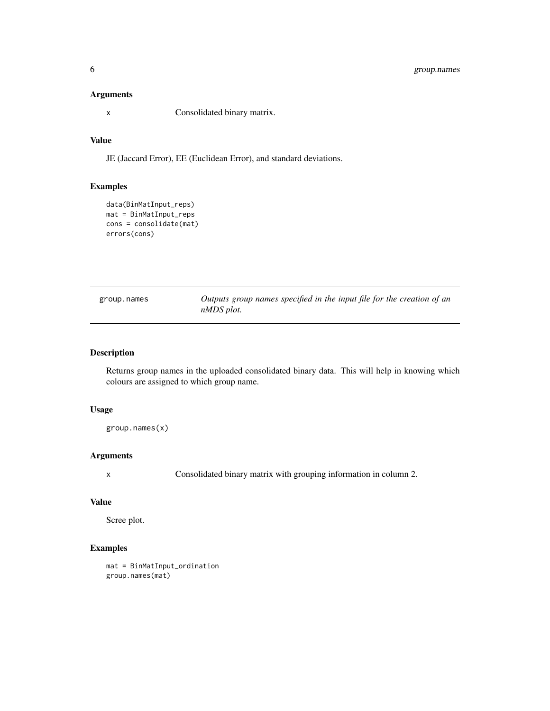#### <span id="page-5-0"></span>Arguments

x Consolidated binary matrix.

### Value

JE (Jaccard Error), EE (Euclidean Error), and standard deviations.

#### Examples

```
data(BinMatInput_reps)
mat = BinMatInput_reps
cons = consolidate(mat)
errors(cons)
```

| group.names | Outputs group names specified in the input file for the creation of an |  |  |
|-------------|------------------------------------------------------------------------|--|--|
|             | nMDS plot.                                                             |  |  |

#### Description

Returns group names in the uploaded consolidated binary data. This will help in knowing which colours are assigned to which group name.

#### Usage

group.names(x)

#### Arguments

x Consolidated binary matrix with grouping information in column 2.

#### Value

Scree plot.

#### Examples

```
mat = BinMatInput_ordination
group.names(mat)
```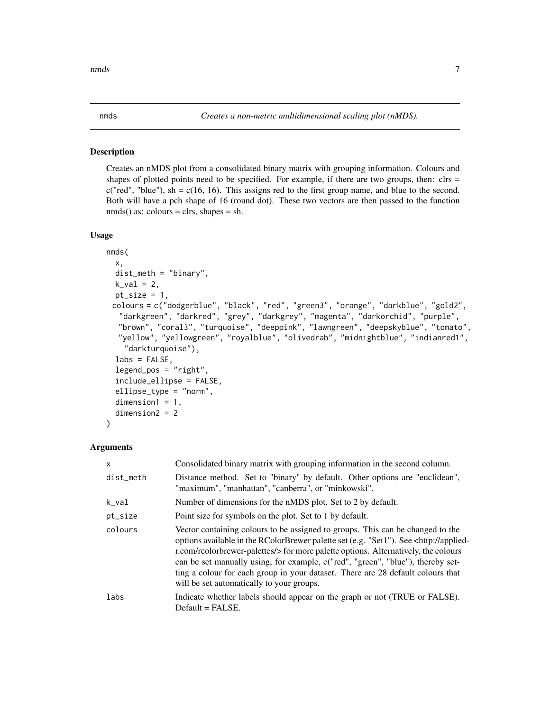<span id="page-6-0"></span>Creates an nMDS plot from a consolidated binary matrix with grouping information. Colours and shapes of plotted points need to be specified. For example, if there are two groups, then:  $\text{clrs} =$ c("red", "blue"), sh =  $c(16, 16)$ . This assigns red to the first group name, and blue to the second. Both will have a pch shape of 16 (round dot). These two vectors are then passed to the function  $nmds()$  as: colours = clrs, shapes = sh.

#### Usage

```
nmds(
  x,
  dist_meth = "binary",
  k_val = 2,
  pt\_size = 1,
 colours = c("dodgerblue", "black", "red", "green3", "orange", "darkblue", "gold2",
   "darkgreen", "darkred", "grey", "darkgrey", "magenta", "darkorchid", "purple",
   "brown", "coral3", "turquoise", "deeppink", "lawngreen", "deepskyblue", "tomato",
  "yellow", "yellowgreen", "royalblue", "olivedrab", "midnightblue", "indianred1",
    "darkturquoise"),
  labs = FALSE,legend_pos = "right",
  include_ellipse = FALSE,
  ellipse_type = "norm",
  dimension1 = 1,
  dimension2 = 2
```
#### Arguments

)

| x         | Consolidated binary matrix with grouping information in the second column.                                                                                                                                                                                                                                                                                                                                                                                                                       |
|-----------|--------------------------------------------------------------------------------------------------------------------------------------------------------------------------------------------------------------------------------------------------------------------------------------------------------------------------------------------------------------------------------------------------------------------------------------------------------------------------------------------------|
| dist_meth | Distance method. Set to "binary" by default. Other options are "euclidean",<br>"maximum", "manhattan", "canberra", or "minkowski".                                                                                                                                                                                                                                                                                                                                                               |
| k_val     | Number of dimensions for the nMDS plot. Set to 2 by default.                                                                                                                                                                                                                                                                                                                                                                                                                                     |
| pt_size   | Point size for symbols on the plot. Set to 1 by default.                                                                                                                                                                                                                                                                                                                                                                                                                                         |
| colours   | Vector containing colours to be assigned to groups. This can be changed to the<br>options available in the RColorBrewer palette set (e.g. "Set1"). See <http: applied-<br="">r.com/rcolorbrewer-palettes/&gt; for more palette options. Alternatively, the colours<br/>can be set manually using, for example, c("red", "green", "blue"), thereby set-<br/>ting a colour for each group in your dataset. There are 28 default colours that<br/>will be set automatically to your groups.</http:> |
| labs      | Indicate whether labels should appear on the graph or not (TRUE or FALSE).<br>$Default = FALSE.$                                                                                                                                                                                                                                                                                                                                                                                                 |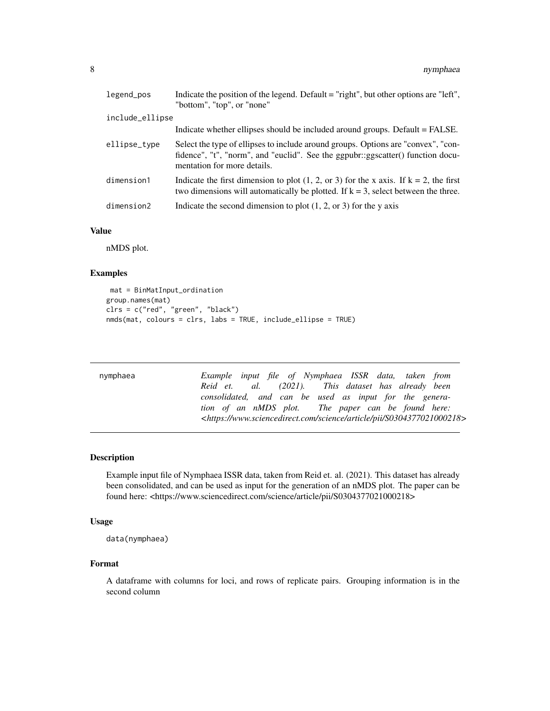<span id="page-7-0"></span>

| legend_pos      | Indicate the position of the legend. Default = "right", but other options are "left",<br>"bottom", "top", or "none"                                                                                 |
|-----------------|-----------------------------------------------------------------------------------------------------------------------------------------------------------------------------------------------------|
| include_ellipse |                                                                                                                                                                                                     |
|                 | Indicate whether ellipses should be included around groups. Default = FALSE.                                                                                                                        |
| ellipse_type    | Select the type of ellipses to include around groups. Options are "convex", "con-<br>fidence", "t", "norm", and "euclid". See the ggpubr::ggscatter() function docu-<br>mentation for more details. |
| dimension1      | Indicate the first dimension to plot $(1, 2, or 3)$ for the x axis. If $k = 2$ , the first<br>two dimensions will automatically be plotted. If $k = 3$ , select between the three.                  |
| dimension2      | Indicate the second dimension to plot $(1, 2, \text{or } 3)$ for the y axis                                                                                                                         |

#### Value

nMDS plot.

#### Examples

```
mat = BinMatInput_ordination
group.names(mat)
clrs = c("red", "green", "black")
nmds(mat, colours = clrs, labs = TRUE, include_ellipse = TRUE)
```

| nymphaea | Example input file of Nymphaea ISSR data, taken from                                         |
|----------|----------------------------------------------------------------------------------------------|
|          | Reid et. al. (2021). This dataset has already been                                           |
|          | consolidated, and can be used as input for the genera-                                       |
|          | tion of an nMDS plot. The paper can be found here:                                           |
|          | <https: article="" pii="" s0304377021000218="" science="" www.sciencedirect.com=""></https:> |

### Description

Example input file of Nymphaea ISSR data, taken from Reid et. al. (2021). This dataset has already been consolidated, and can be used as input for the generation of an nMDS plot. The paper can be found here: <https://www.sciencedirect.com/science/article/pii/S0304377021000218>

#### Usage

```
data(nymphaea)
```
#### Format

A dataframe with columns for loci, and rows of replicate pairs. Grouping information is in the second column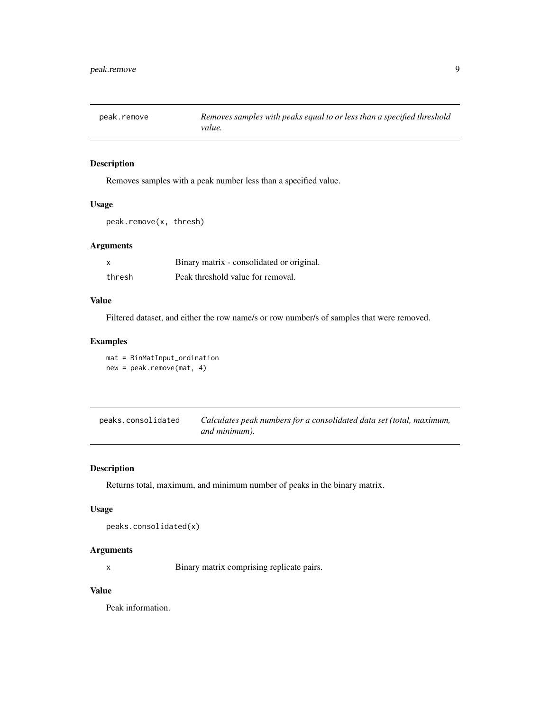<span id="page-8-0"></span>

Removes samples with a peak number less than a specified value.

#### Usage

peak.remove(x, thresh)

#### Arguments

| X      | Binary matrix - consolidated or original. |
|--------|-------------------------------------------|
| thresh | Peak threshold value for removal.         |

#### Value

Filtered dataset, and either the row name/s or row number/s of samples that were removed.

#### Examples

mat = BinMatInput\_ordination new = peak.remove(mat, 4)

peaks.consolidated *Calculates peak numbers for a consolidated data set (total, maximum, and minimum).*

#### Description

Returns total, maximum, and minimum number of peaks in the binary matrix.

#### Usage

```
peaks.consolidated(x)
```
#### Arguments

x Binary matrix comprising replicate pairs.

#### Value

Peak information.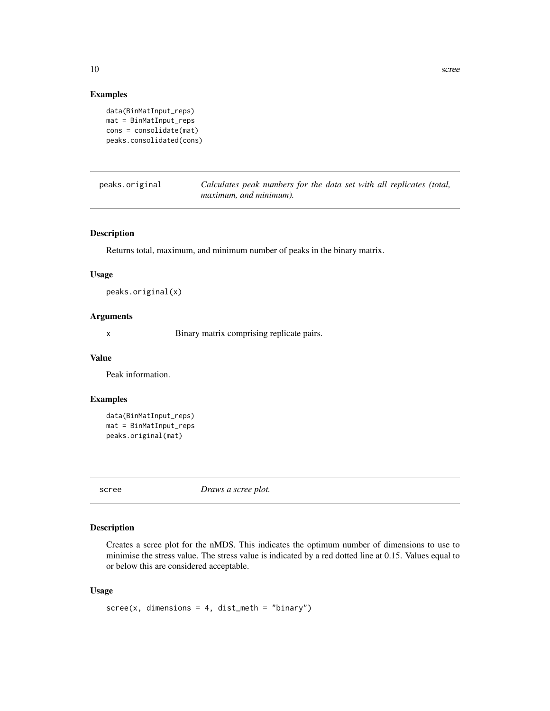#### <span id="page-9-0"></span>Examples

```
data(BinMatInput_reps)
mat = BinMatInput_reps
cons = consolidate(mat)
peaks.consolidated(cons)
```
peaks.original *Calculates peak numbers for the data set with all replicates (total, maximum, and minimum).*

#### Description

Returns total, maximum, and minimum number of peaks in the binary matrix.

#### Usage

```
peaks.original(x)
```
#### Arguments

x Binary matrix comprising replicate pairs.

#### Value

Peak information.

#### Examples

```
data(BinMatInput_reps)
mat = BinMatInput_reps
peaks.original(mat)
```
scree *Draws a scree plot.*

#### Description

Creates a scree plot for the nMDS. This indicates the optimum number of dimensions to use to minimise the stress value. The stress value is indicated by a red dotted line at 0.15. Values equal to or below this are considered acceptable.

#### Usage

```
scree(x, dimensions = 4, dist_meth = "binary")
```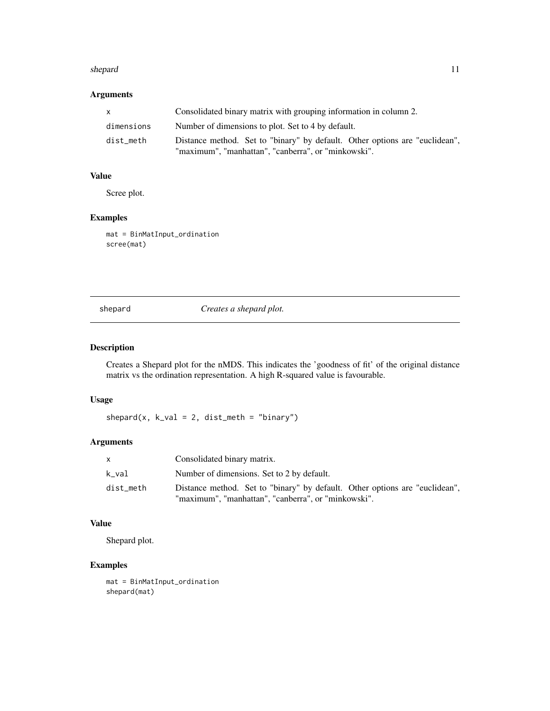#### <span id="page-10-0"></span>shepard 11

### Arguments

| X          | Consolidated binary matrix with grouping information in column 2.                                                                  |
|------------|------------------------------------------------------------------------------------------------------------------------------------|
| dimensions | Number of dimensions to plot. Set to 4 by default.                                                                                 |
| dist meth  | Distance method. Set to "binary" by default. Other options are "euclidean",<br>"maximum", "manhattan", "canberra", or "minkowski". |

#### Value

Scree plot.

#### Examples

mat = BinMatInput\_ordination scree(mat)

shepard *Creates a shepard plot.*

### Description

Creates a Shepard plot for the nMDS. This indicates the 'goodness of fit' of the original distance matrix vs the ordination representation. A high R-squared value is favourable.

#### Usage

 $shepard(x, k_val = 2, dist_meth = "binary")$ 

#### Arguments

| X.        | Consolidated binary matrix.                                                                                                        |
|-----------|------------------------------------------------------------------------------------------------------------------------------------|
| k val     | Number of dimensions. Set to 2 by default.                                                                                         |
| dist_meth | Distance method. Set to "binary" by default. Other options are "euclidean",<br>"maximum", "manhattan", "canberra", or "minkowski". |

#### Value

Shepard plot.

#### Examples

mat = BinMatInput\_ordination shepard(mat)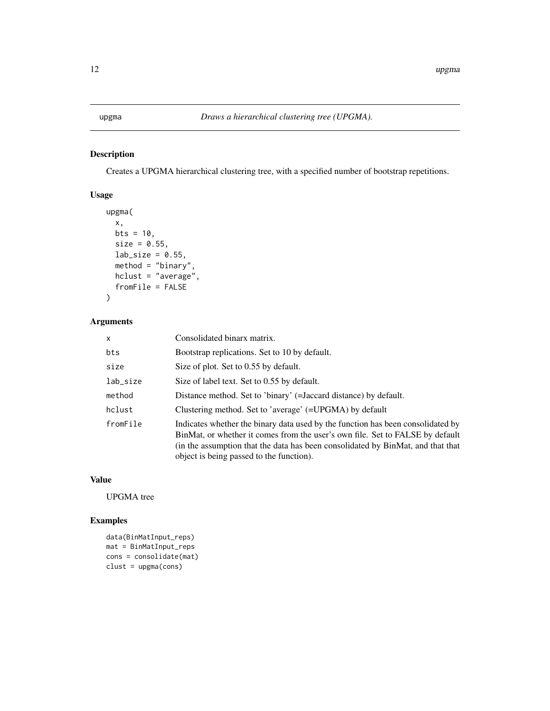<span id="page-11-0"></span>Creates a UPGMA hierarchical clustering tree, with a specified number of bootstrap repetitions.

### Usage

```
upgma(
  x,
  bts = 10,
  size = 0.55,
  lab\_size = 0.55,
  method = "binary",hclust = "average",
  fromFile = FALSE
\overline{\phantom{a}}
```
#### Arguments

| $\times$ | Consolidated binarx matrix.                                                                                                                                                                                                                                                                     |
|----------|-------------------------------------------------------------------------------------------------------------------------------------------------------------------------------------------------------------------------------------------------------------------------------------------------|
| bts      | Bootstrap replications. Set to 10 by default.                                                                                                                                                                                                                                                   |
| size     | Size of plot. Set to 0.55 by default.                                                                                                                                                                                                                                                           |
| lab_size | Size of label text. Set to 0.55 by default.                                                                                                                                                                                                                                                     |
| method   | Distance method. Set to 'binary' (=Jaccard distance) by default.                                                                                                                                                                                                                                |
| hclust   | Clustering method. Set to 'average' (=UPGMA) by default                                                                                                                                                                                                                                         |
| fromFile | Indicates whether the binary data used by the function has been consolidated by<br>BinMat, or whether it comes from the user's own file. Set to FALSE by default<br>(in the assumption that the data has been consolidated by BinMat, and that that<br>object is being passed to the function). |

### Value

UPGMA tree

#### Examples

```
data(BinMatInput_reps)
mat = BinMatInput_reps
cons = consolidate(mat)
clust = upgma(cons)
```